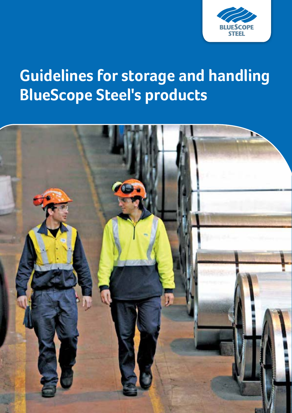

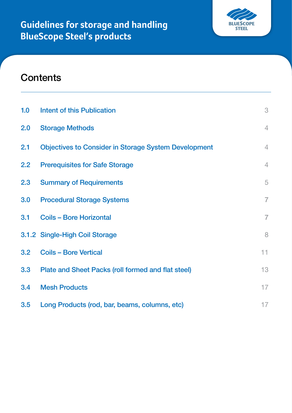

### **Contents**

| 1.0 | <b>Intent of this Publication</b>                           | $\ensuremath{\mathsf{3}}$ |
|-----|-------------------------------------------------------------|---------------------------|
| 2.0 | <b>Storage Methods</b>                                      | $\overline{4}$            |
| 2.1 | <b>Objectives to Consider in Storage System Development</b> | $\overline{4}$            |
| 2.2 | <b>Prerequisites for Safe Storage</b>                       | $\overline{4}$            |
| 2.3 | <b>Summary of Requirements</b>                              | 5                         |
| 3.0 | <b>Procedural Storage Systems</b>                           | $\overline{7}$            |
| 3.1 | <b>Coils - Bore Horizontal</b>                              | $\overline{7}$            |
|     | 3.1.2 Single-High Coil Storage                              | 8                         |
| 3.2 | <b>Coils - Bore Vertical</b>                                | 11                        |
| 3.3 | Plate and Sheet Packs (roll formed and flat steel)          | 13                        |
| 3.4 | <b>Mesh Products</b>                                        | 17                        |
| 3.5 | Long Products (rod, bar, beams, columns, etc)               | 17                        |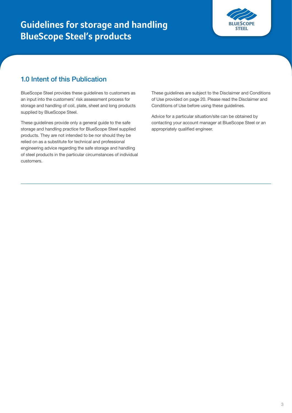

### 1.0 Intent of this Publication

BlueScope Steel provides these guidelines to customers as an input into the customers' risk assessment process for storage and handling of coil, plate, sheet and long products supplied by BlueScope Steel.

These guidelines provide only a general guide to the safe storage and handling practice for BlueScope Steel supplied products. They are not intended to be nor should they be relied on as a substitute for technical and professional engineering advice regarding the safe storage and handling of steel products in the particular circumstances of individual customers.

These guidelines are subject to the Disclaimer and Conditions of Use provided on page 20. Please read the Disclaimer and Conditions of Use before using these guidelines.

Advice for a particular situation/site can be obtained by contacting your account manager at BlueScope Steel or an appropriately qualified engineer.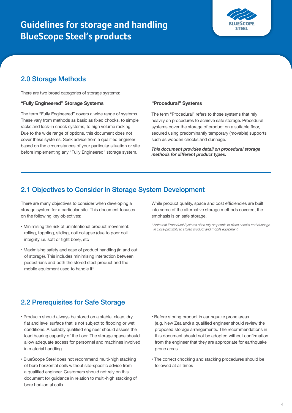

### 2.0 Storage Methods

There are two broad categories of storage systems:

#### **"Fully Engineered" Storage Systems**

The term "Fully Engineered" covers a wide range of systems. These vary from methods as basic as fixed chocks, to simple racks and lock-in chock systems, to high volume racking. Due to the wide range of options, this document does not cover these systems. Seek advice from a qualified engineer based on the circumstances of your particular situation or site before implementing any "Fully Engineered" storage system.

#### **"Procedural" Systems**

The term "Procedural" refers to those systems that rely heavily on procedures to achieve safe storage. Procedural systems cover the storage of product on a suitable floor, secured using predominantly temporary (movable) supports such as wooden chocks and dunnage.

*This document provides detail on procedural storage methods for different product types.*

### 2.1 Objectives to Consider in Storage System Development

There are many objectives to consider when developing a storage system for a particular site. This document focuses on the following key objectives:

- Minimising the risk of unintentional product movement: rolling, toppling, sliding, coil collapse (due to poor coil integrity i.e. soft or tight bore), etc
- Maximising safety and ease of product handling (in and out of storage). This includes minimising interaction between pedestrians and both the stored steel product and the mobile equipment used to handle it\*

While product quality, space and cost efficiencies are built into some of the alternative storage methods covered, the emphasis is on safe storage.

*\* Note that Procedural Systems often rely on people to place chocks and dunnage in close proximity to stored product and mobile equipment.*

### 2.2 Prerequisites for Safe Storage

- Products should always be stored on a stable, clean, dry, flat and level surface that is not subject to flooding or wet conditions. A suitably qualified engineer should assess the load bearing capacity of the floor. The storage space should allow adequate access for personnel and machines involved in material handling
- BlueScope Steel does not recommend multi-high stacking of bore horizontal coils without site-specific advice from a qualified engineer. Customers should not rely on this document for guidance in relation to multi-high stacking of bore horizontal coils
- Before storing product in earthquake prone areas (e.g. New Zealand) a qualified engineer should review the proposed storage arrangements. The recommendations in this document should not be adopted without confirmation from the engineer that they are appropriate for earthquake prone areas
- The correct chocking and stacking procedures should be followed at all times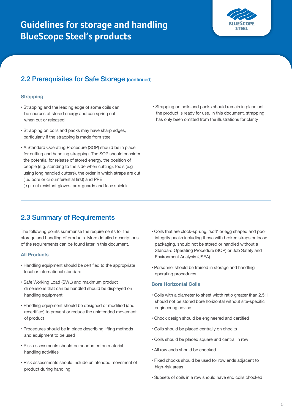

### 2.2 Prerequisites for Safe Storage (continued)

#### **Strapping**

- Strapping and the leading edge of some coils can be sources of stored energy and can spring out when cut or released
- Strapping on coils and packs may have sharp edges, particularly if the strapping is made from steel
- A Standard Operating Procedure (SOP) should be in place for cutting and handling strapping. The SOP should consider the potential for release of stored energy, the position of people (e.g. standing to the side when cutting), tools (e.g using long handled cutters), the order in which straps are cut (i.e. bore or circumferential first) and PPE (e.g. cut resistant gloves, arm-guards and face shield)
- Strapping on coils and packs should remain in place until the product is ready for use. In this document, strapping has only been omitted from the illustrations for clarity

### 2.3 Summary of Requirements

The following points summarise the requirements for the storage and handling of products. More detailed descriptions of the requirements can be found later in this document.

#### **All Products**

- Handling equipment should be certified to the appropriate local or international standard
- Safe Working Load (SWL) and maximum product dimensions that can be handled should be displayed on handling equipment
- Handling equipment should be designed or modified (and recertified) to prevent or reduce the unintended movement of product
- Procedures should be in place describing lifting methods and equipment to be used
- Risk assessments should be conducted on material handling activities
- Risk assessments should include unintended movement of product during handling
- Coils that are clock-sprung, 'soft' or egg shaped and poor integrity packs including those with broken straps or loose packaging, should not be stored or handled without a Standard Operating Procedure (SOP) or Job Safety and Environment Analysis (JSEA)
- Personnel should be trained in storage and handling operating procedures

#### **Bore Horizontal Coils**

- Coils with a diameter to sheet width ratio greater than 2.5:1 should not be stored bore horizontal without site-specific engineering advice
- Chock design should be engineered and certified
- Coils should be placed centrally on chocks
- Coils should be placed square and central in row
- All row ends should be chocked
- Fixed chocks should be used for row ends adjacent to high-risk areas
- Subsets of coils in a row should have end coils chocked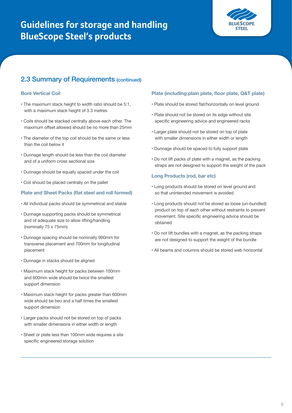

### 2.3 Summary of Requirements (continued)

#### **Bore Vertical Coil**

- The maximum stack height to width ratio should be 5:1, with a maximum stack height of 3.3 metres
- Coils should be stacked centrally above each other. The maximum offset allowed should be no more than 25mm
- The diameter of the top coil should be the same or less than the coil below it
- Dunnage length should be less than the coil diameter and of a uniform cross sectional size
- Dunnage should be equally spaced under the coil
- Coil should be placed centrally on the pallet

### **Plate and Sheet Packs (flat steel and roll formed)**

- All individual packs should be symmetrical and stable
- Dunnage supporting packs should be symmetrical and of adequate size to allow lifting/handling (nominally 75 x 75mm)
- Dunnage spacing should be nominally 900mm for transverse placement and 700mm for longitudinal placement
- Dunnage in stacks should be aligned
- Maximum stack height for packs between 100mm and 600mm wide should be twice the smallest support dimension
- Maximum stack height for packs greater than 600mm wide should be two and a half times the smallest support dimension
- Larger packs should not be stored on top of packs with smaller dimensions in either width or length
- Sheet or plate less than 100mm wide requires a site specific engineered storage solution

#### **Plate (including plain plate, floor plate, Q&T plate)**

- Plate should be stored flat/horizontally on level ground
- Plate should not be stored on its edge without site specific engineering advice and engineered racks
- Larger plate should not be stored on top of plate with smaller dimensions in either width or length
- Dunnage should be spaced to fully support plate
- Do not lift packs of plate with a magnet, as the packing straps are not designed to support the weight of the pack

#### **Long Products (rod, bar etc)**

- Long products should be stored on level ground and so that unintended movement is avoided
- Long products should not be stored as loose (un-bundled) product on top of each other without restraints to prevent movement. Site specific engineering advice should be obtained
- Do not lift bundles with a magnet, as the packing straps are not designed to support the weight of the bundle
- All beams and columns should be stored web horizontal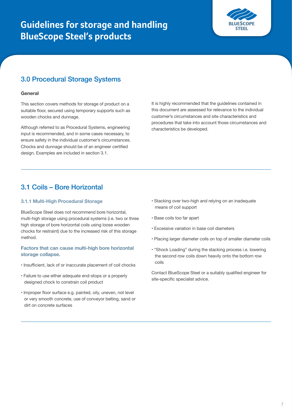

### 3.0 Procedural Storage Systems

#### **General**

This section covers methods for storage of product on a suitable floor, secured using temporary supports such as wooden chocks and dunnage.

Although referred to as Procedural Systems, engineering input is recommended, and in some cases necessary, to ensure safety in the individual customer's circumstances. Chocks and dunnage should be of an engineer certified design. Examples are included in section 3.1.

It is highly recommended that the guidelines contained in this document are assessed for relevance to the individual customer's circumstances and site characteristics and procedures that take into account those circumstances and characteristics be developed.

### 3.1 Coils – Bore Horizontal

#### **3.1.1 Multi-High Procedural Storage**

BlueScope Steel does not recommend bore horizontal, multi-high storage using procedural systems (i.e. two or three high storage of bore horizontal coils using loose wooden chocks for restraint) due to the increased risk of this storage method.

#### **Factors that can cause multi-high bore horizontal storage collapse.**

- Insufficient, lack of or inaccurate placement of coil chocks
- Failure to use either adequate end-stops or a properly designed chock to constrain coil product
- Improper floor surface e.g. painted, oily, uneven, not level or very smooth concrete, use of conveyor belting, sand or dirt on concrete surfaces
- Stacking over two-high and relying on an inadequate means of coil support
- Base coils too far apart
- Excessive variation in base coil diameters
- Placing larger diameter coils on top of smaller diameter coils
- "Shock Loading" during the stacking process i.e. lowering the second row coils down heavily onto the bottom row coils

Contact BlueScope Steel or a suitably qualified engineer for site-specific specialist advice.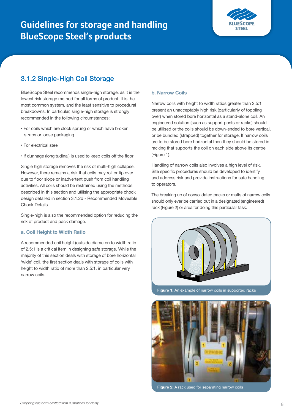

### 3.1.2 Single-High Coil Storage

BlueScope Steel recommends single-high storage, as it is the lowest risk storage method for all forms of product. It is the most common system, and the least sensitive to procedural breakdowns. In particular, single-high storage is strongly recommended in the following circumstances:

- For coils which are clock sprung or which have broken straps or loose packaging
- For electrical steel
- If dunnage (longitudinal) is used to keep coils off the floor

Single high storage removes the risk of multi-high collapse. However, there remains a risk that coils may roll or tip over due to floor slope or inadvertent push from coil handling activities. All coils should be restrained using the methods described in this section and utilising the appropriate chock design detailed in section 3.1.2d - Recommended Moveable Chock Details.

Single-high is also the recommended option for reducing the risk of product and pack damage.

#### **a. Coil Height to Width Ratio**

A recommended coil height (outside diameter) to width ratio of 2.5:1 is a critical item in designing safe storage. While the majority of this section deals with storage of bore horizontal 'wide' coil, the first section deals with storage of coils with height to width ratio of more than 2.5:1, in particular very narrow coils.

#### **b. Narrow Coils**

Narrow coils with height to width ratios greater than 2.5:1 present an unacceptably high risk (particularly of toppling over) when stored bore horizontal as a stand-alone coil. An engineered solution (such as support posts or racks) should be utilised or the coils should be down-ended to bore vertical, or be bundled (strapped) together for storage. If narrow coils are to be stored bore horizontal then they should be stored in racking that supports the coil on each side above its centre (Figure 1).

Handling of narrow coils also involves a high level of risk. Site specific procedures should be developed to identify and address risk and provide instructions for safe handling to operators.

The breaking up of consolidated packs or mults of narrow coils should only ever be carried out in a designated (engineered) rack (Figure 2) or area for doing this particular task.



**Figure 1:** An example of narrow coils in supported racks



**Figure 2:** A rack used for separating narrow coils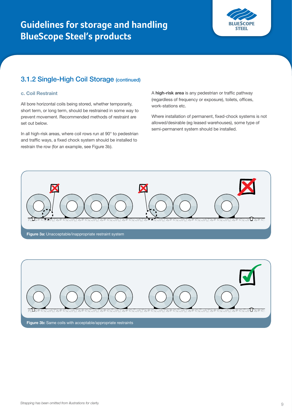

### 3.1.2 Single-High Coil Storage (continued)

#### **c. Coil Restraint**

All bore horizontal coils being stored, whether temporarily, short term, or long term, should be restrained in some way to prevent movement. Recommended methods of restraint are set out below.

In all high-risk areas, where coil rows run at 90° to pedestrian and traffic ways, a fixed chock system should be installed to restrain the row (for an example, see Figure 3b).

A **high-risk area** is any pedestrian or traffic pathway (regardless of frequency or exposure), toilets, offices, work-stations etc.

Where installation of permanent, fixed-chock systems is not allowed/desirable (eg leased warehouses), some type of semi-permanent system should be installed.



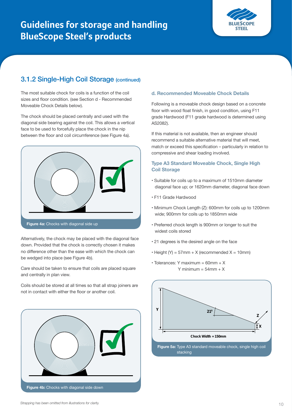

### 3.1.2 Single-High Coil Storage (continued)

The most suitable chock for coils is a function of the coil sizes and floor condition. (see Section d - Recommended Moveable Chock Details below).

The chock should be placed centrally and used with the diagonal side bearing against the coil. This allows a vertical face to be used to forcefully place the chock in the nip between the floor and coil circumference (see Figure 4a).



Alternatively, the chock may be placed with the diagonal face down. Provided that the chock is correctly chosen it makes no difference other than the ease with which the chock can be wedged into place (see Figure 4b).

Care should be taken to ensure that coils are placed square and centrally in plan view.

Coils should be stored at all times so that all strap joiners are not in contact with either the floor or another coil.



#### **d. Recommended Moveable Chock Details**

Following is a moveable chock design based on a concrete floor with wood float finish, in good condition, using F11 grade Hardwood (F11 grade hardwood is determined using AS2082).

If this material is not available, then an engineer should recommend a suitable alternative material that will meet, match or exceed this specification – particularly in relation to compressive and shear loading involved.

#### **Type A3 Standard Moveable Chock, Single High Coil Storage**

- Suitable for coils up to a maximum of 1510mm diameter diagonal face up; or 1620mm diameter, diagonal face down
- F11 Grade Hardwood
- Minimum Chock Length (Z): 600mm for coils up to 1200mm wide; 900mm for coils up to 1850mm wide
- Preferred chock length is 900mm or longer to suit the widest coils stored
- 21 degrees is the desired angle on the face
- Height  $(Y) = 57$ mm + X (recommended  $X = 10$ mm)
- $\cdot$  Tolerances: Y maximum = 60mm + X Y minimum  $= 54$ mm  $+ X$



stacking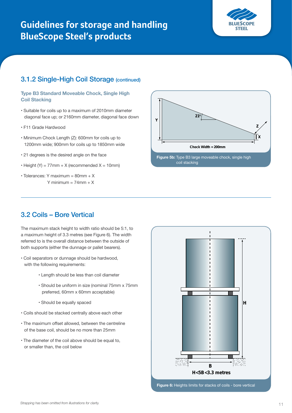

### 3.1.2 Single-High Coil Storage (continued)

#### **Type B3 Standard Moveable Chock, Single High Coil Stacking**

- Suitable for coils up to a maximum of 2010mm diameter diagonal face up; or 2160mm diameter, diagonal face down
- F11 Grade Hardwood
- Minimum Chock Length (Z): 600mm for coils up to 1200mm wide; 900mm for coils up to 1850mm wide
- 21 degrees is the desired angle on the face
- Height  $(Y) = 77$ mm + X (recommended  $X = 10$ mm)
- $\cdot$  Tolerances: Y maximum = 80mm + X Y minimum  $= 74$ mm  $+ X$



### 3.2 Coils – Bore Vertical

The maximum stack height to width ratio should be 5:1, to a maximum height of 3.3 metres (see Figure 6). The width referred to is the overall distance between the outside of both supports (either the dunnage or pallet bearers).

- Coil separators or dunnage should be hardwood, with the following requirements:
	- Length should be less than coil diameter
	- Should be uniform in size (nominal 75mm x 75mm preferred, 60mm x 60mm acceptable)
	- Should be equally spaced
- Coils should be stacked centrally above each other
- The maximum offset allowed, between the centreline of the base coil, should be no more than 25mm
- The diameter of the coil above should be equal to, or smaller than, the coil below



**Figure 6:** Heights limits for stacks of coils - bore vertical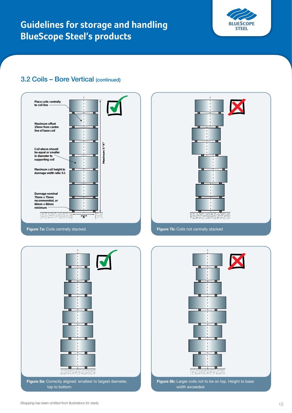



### 3.2 Coils – Bore Vertical (continued)





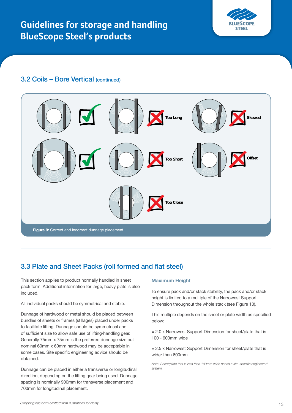

### 3.2 Coils – Bore Vertical (continued)



### 3.3 Plate and Sheet Packs (roll formed and flat steel)

This section applies to product normally handled in sheet pack form. Additional information for large, heavy plate is also included.

All individual packs should be symmetrical and stable.

Dunnage of hardwood or metal should be placed between bundles of sheets or frames (stillages) placed under packs to facilitate lifting. Dunnage should be symmetrical and of sufficient size to allow safe use of lifting/handling gear. Generally 75mm x 75mm is the preferred dunnage size but nominal 60mm x 60mm hardwood may be acceptable in some cases. Site specific engineering advice should be obtained.

Dunnage can be placed in either a transverse or longitudinal direction, depending on the lifting gear being used. Dunnage spacing is nominally 900mm for transverse placement and 700mm for longitudinal placement.

#### **Maximum Height**

To ensure pack and/or stack stability, the pack and/or stack height is limited to a multiple of the Narrowest Support Dimension throughout the whole stack (see Figure 10).

This multiple depends on the sheet or plate width as specified below:

 $= 2.0$  x Narrowest Support Dimension for sheet/plate that is 100 - 600mm wide

 $= 2.5$  x Narrowest Support Dimension for sheet/plate that is wider than 600mm

*Note: Sheet/plate that is less than 100mm wide needs a site-specific engineered system.*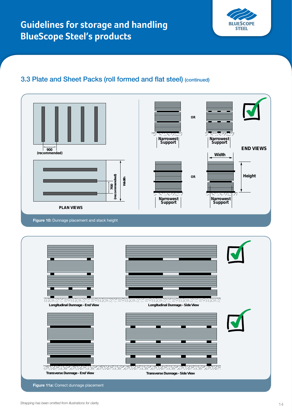

**900**

**(recommended)**

**(recommended)**

**Width**

**(recommended)**

**(recommended)**

#### 3.3 Plate and Sheet Packs (roll formed and flat steel) (continued) **900 (b)** (continued) **(recommended) 900 (recommended)**

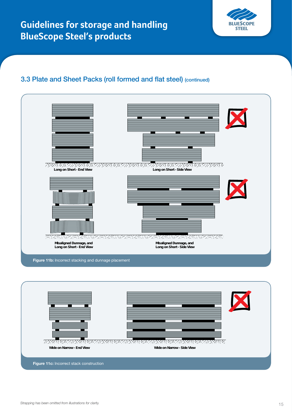

### 3.3 Plate and Sheet Packs (roll formed and flat steel) (continued)



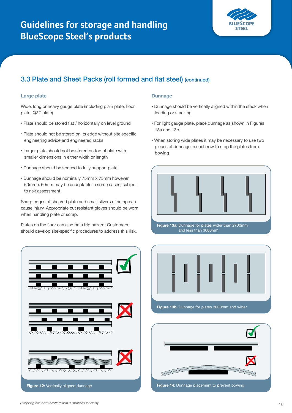

### 3.3 Plate and Sheet Packs (roll formed and flat steel) (continued)

#### **Large plate**

Wide, long or heavy gauge plate (including plain plate, floor plate, Q&T plate)

- Plate should be stored flat / horizontally on level ground
- Plate should not be stored on its edge without site specific engineering advice and engineered racks
- Larger plate should not be stored on top of plate with smaller dimensions in either width or length
- Dunnage should be spaced to fully support plate
- Dunnage should be nominally 75mm x 75mm however 60mm x 60mm may be acceptable in some cases, subject to risk assessment

Sharp edges of sheared plate and small slivers of scrap can cause injury. Appropriate cut resistant gloves should be worn when handling plate or scrap.

Plates on the floor can also be a trip hazard. Customers should develop site-specific procedures to address this risk.



#### **Dunnage**

- Dunnage should be vertically aligned within the stack when loading or stacking
- For light gauge plate, place dunnage as shown in Figures 13a and 13b
- When storing wide plates it may be necessary to use two pieces of dunnage in each row to stop the plates from bowing





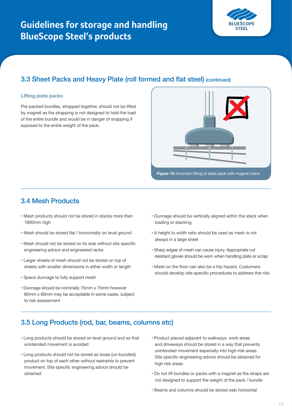

### 3.3 Sheet Packs and Heavy Plate (roll formed and flat steel) (continued)

#### **Lifting plate packs**

Pre-packed bundles, strapped together, should not be lifted by magnet as the strapping is not designed to hold the load of the entire bundle and would be in danger of snapping if exposed to the entire weight of the pack.



### 3.4 Mesh Products

- Mesh products should not be stored in stacks more than 1800mm high
- Mesh should be stored flat / horizontally on level ground
- Mesh should not be stored on its side without site specific engineering advice and engineered racks
- Larger sheets of mesh should not be stored on top of sheets with smaller dimensions in either width or length
- Space dunnage to fully support mesh
- Dunnage should be nominally 75mm x 75mm however 60mm x 60mm may be acceptable in some cases, subject to risk assessment
- Dunnage should be vertically aligned within the stack when loading or stacking
- A height to width ratio should be used as mesh is not always in a large sheet
- Sharp edges of mesh can cause injury. Appropriate cut resistant gloves should be worn when handling plate or scrap
- Mesh on the floor can also be a trip hazard. Customers should develop site-specific procedures to address this risk

### 3.5 Long Products (rod, bar, beams, columns etc)

- Long products should be stored on level ground and so that unintended movement is avoided
- Long products should not be stored as loose (un-bundled) product on top of each other without restraints to prevent movement. Site specific engineering advice should be obtained
- Product placed adjacent to walkways, work areas and driveways should be stored in a way that prevents unintended movement especially into high-risk areas. Site specific engineering advice should be obtained for high risk areas
- Do not lift bundles or packs with a magnet as the straps are not designed to support the weight of the pack / bundle
- Beams and columns should be stored web horizontal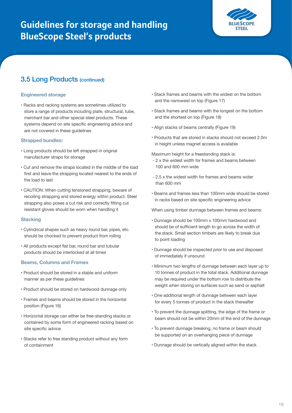

### 3.5 Long Products (continued)

### **Engineered storage**

• Racks and racking systems are sometimes utilized to store a range of products including plate, structural, tube, merchant bar and other special steel products. These systems depend on site specific engineering advice and are not covered in these guidelines

#### **Strapped bundles:**

- Long products should be left strapped in original manufacturer straps for storage
- Cut and remove the straps located in the middle of the load first and leave the strapping located nearest to the ends of the load to last
- CAUTION: When cutting tensioned strapping, beware of recoiling strapping and stored energy within product. Steel strapping also poses a cut risk and correctly fitting cut resistant gloves should be worn when handling it

#### **Stacking**

- Cylindrical shapes such as heavy round bar, pipes, etc. should be chocked to prevent product from rolling
- All products except flat bar, round bar and tubular products should be interlocked at all times

#### **Beams, Columns and Frames**

- Product should be stored in a stable and uniform manner as per these quidelines
- Product should be stored on hardwood dunnage only
- Frames and beams should be stored in the horizontal position (Figure 16)
- Horizontal storage can either be free-standing stacks or contained by some form of engineered racking based on site specific advice
- Stacks refer to free standing product without any form of containment
- Stack frames and beams with the widest on the bottom and the narrowest on top (Figure 17)
- Stack frames and beams with the longest on the bottom and the shortest on top (Figure 18)
- Align stacks of beams centrally (Figure 19)
- Products that are stored in stacks should not exceed 2.0m in height unless magnet access is available

Maximum height for a freestanding stack is:

- 2 x the widest width for frames and beams between 100 and 600 mm wide
- 2.5 x the widest width for frames and beams wider than 600 mm
- Beams and frames less than 100mm wide should be stored in racks based on site specific engineering advice

When using timber dunnage between frames and beams:

- Dunnage should be 100mm x 100mm hardwood and should be of sufficient length to go across the width of the stack. Small section timbers are likely to break due to point loading
- Dunnage should be inspected prior to use and disposed of immediately if unsound
- Minimum two lengths of dunnage between each layer up to 10 tonnes of product in the total stack. Additional dunnage may be required under the bottom row to distribute the weight when storing on surfaces such as sand or asphalt
- One additional length of dunnage between each layer for every 5 tonnes of product in the stack thereafter
- To prevent the dunnage splitting, the edge of the frame or beam should not be within 20mm of the end of the dunnage
- To prevent dunnage breaking, no frame or beam should be supported on an overhanging piece of dunnage
- Dunnage should be vertically aligned within the stack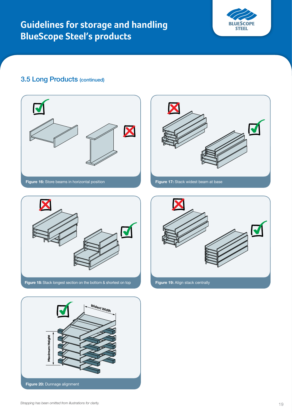

### 3.5 Long Products (continued)





**Figure 18:** Stack longest section on the bottom & shortest on top